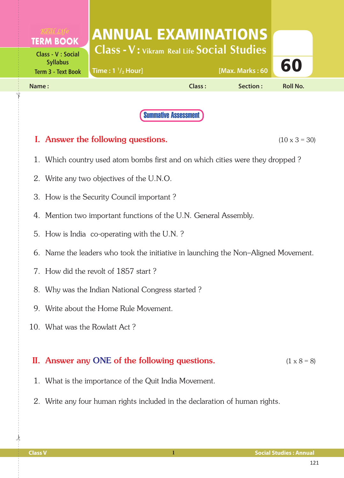| <b>TERM BOOK</b>                                                          | ANNUAL EXAMINATIONS<br><b>Class - V: Vikram Real Life Social Studies</b> |        |                 |                 |  |
|---------------------------------------------------------------------------|--------------------------------------------------------------------------|--------|-----------------|-----------------|--|
| <b>Class - V : Social</b><br><b>Syllabus</b><br><b>Term 3 - Text Book</b> | Time: $1 \frac{1}{2}$ Hour]                                              |        | [Max. Marks: 60 | 60              |  |
| Name:                                                                     |                                                                          | Class: | Section:        | <b>Roll No.</b> |  |
|                                                                           |                                                                          |        |                 |                 |  |

Summative Assessment

## **I.** Answer the following questions.  $(10 \times 3 = 30)$

- 1. Which country used atom bombs first and on which cities were they dropped ?
- 2. Write any two objectives of the U.N.O.
- 3. How is the Security Council important ?
- 4. Mention two important functions of the U.N. General Assembly.
- 5. How is India co-operating with the U.N. ?
- 6. Name the leaders who took the initiative in launching the Non–Aligned Movement.
- 7. How did the revolt of 1857 start ?
- 8. Why was the Indian National Congress started ?
- 9. Write about the Home Rule Movement.
- 10. What was the Rowlatt Act ?

## II. Answer any ONE of the following questions.  $(1 \times 8 = 8)$

- 1. What is the importance of the Quit India Movement.
- 2. Write any four human rights included in the declaration of human rights.

 $\frac{1}{2}$ 

✁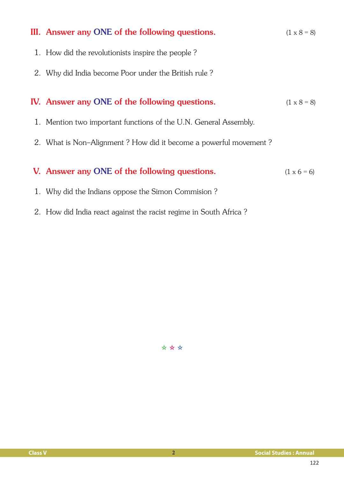| III. Answer any ONE of the following questions.                  | $(1 \times 8 = 8)$ |
|------------------------------------------------------------------|--------------------|
| 1. How did the revolutionists inspire the people?                |                    |
| 2. Why did India become Poor under the British rule?             |                    |
| IV. Answer any ONE of the following questions.                   | $(1 \times 8 = 8)$ |
| 1. Mention two important functions of the U.N. General Assembly. |                    |
| 2. What is Non-Alignment? How did it become a powerful movement? |                    |
| V. Answer any ONE of the following questions.                    | $(1 \times 6 = 6)$ |
| 1. Why did the Indians oppose the Simon Commision?               |                    |

2. How did India react against the racist regime in South Africa ?

✫ ✫ ✫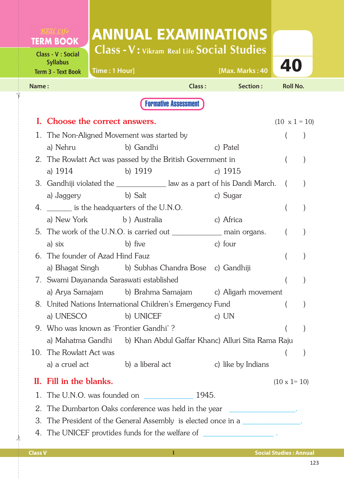|       | <b>TERM BOOK</b>                                                          | <b>ANNUAL EXAMINATIONS</b>                                                  |                             |                                              |                      |  |
|-------|---------------------------------------------------------------------------|-----------------------------------------------------------------------------|-----------------------------|----------------------------------------------|----------------------|--|
|       | <b>Class - V : Social</b><br><b>Syllabus</b><br><b>Term 3 - Text Book</b> | <b>Class-V: Vikram Real Life Social Studies</b><br>Time: 1 Hour]            |                             | [Max. Marks: 40                              | 40                   |  |
| Name: |                                                                           |                                                                             | Class:                      | Section:                                     | <b>Roll No.</b>      |  |
|       |                                                                           |                                                                             | <b>Formative Assessment</b> |                                              |                      |  |
|       |                                                                           | I. Choose the correct answers.                                              |                             |                                              | $(10 \times 1 = 10)$ |  |
|       |                                                                           | 1. The Non-Aligned Movement was started by                                  |                             |                                              |                      |  |
|       |                                                                           | a) Nehru b) Gandhi                                                          |                             | c) Patel                                     |                      |  |
|       |                                                                           | 2. The Rowlatt Act was passed by the British Government in                  |                             |                                              |                      |  |
|       | a) 1914                                                                   | b) 1919                                                                     |                             | c) $1915$                                    |                      |  |
|       |                                                                           | 3. Gandhiji violated the ______________ law as a part of his Dandi March. ( |                             |                                              |                      |  |
|       |                                                                           | a) Jaggery b) Salt                                                          |                             | c) Sugar                                     |                      |  |
|       |                                                                           | 4. _______ is the headquarters of the U.N.O.                                |                             |                                              |                      |  |
|       |                                                                           | a) New York b) Australia                                                    |                             | c) Africa                                    |                      |  |
|       |                                                                           | 5. The work of the U.N.O. is carried out __________________ main organs.    |                             |                                              | $\left($             |  |
|       | a) six                                                                    | b) five                                                                     |                             | c) four                                      |                      |  |
|       |                                                                           | 6. The founder of Azad Hind Fauz                                            |                             |                                              |                      |  |
|       |                                                                           | a) Bhagat Singh b) Subhas Chandra Bose c) Gandhiji                          |                             |                                              |                      |  |
|       |                                                                           | 7.  Swami Dayananda Saraswati established                                   |                             |                                              | (                    |  |
|       | a) Arya Samajam                                                           |                                                                             |                             | b) Brahma Samajam c) Aligarh movement        |                      |  |
|       |                                                                           | 8. United Nations International Children's Emergency Fund                   |                             |                                              |                      |  |
|       | a) UNESCO                                                                 | b) UNICEF                                                                   |                             | c) $UN$                                      |                      |  |
|       |                                                                           | 9. Who was known as 'Frontier Gandhi'?                                      |                             |                                              |                      |  |
|       |                                                                           | a) Mahatma Gandhi b) Khan Abdul Gaffar Khanc) Alluri Sita Rama Raju         |                             |                                              |                      |  |
|       | 10. The Rowlatt Act was                                                   |                                                                             |                             |                                              |                      |  |
|       | a) a cruel act                                                            | b) a liberal act                                                            |                             | c) like by Indians                           |                      |  |
|       | II. Fill in the blanks.                                                   |                                                                             |                             |                                              | $(10 \times 1 = 10)$ |  |
|       |                                                                           |                                                                             |                             |                                              |                      |  |
|       |                                                                           | The Dumbarton Oaks conference was held in the year                          |                             | <u> 1990 - Johann Barn, fransk politik (</u> |                      |  |
| 3.    |                                                                           | The President of the General Assembly is elected once in a                  |                             |                                              |                      |  |
|       |                                                                           | 4. The UNICEF provtides funds for the welfare of __________________.        |                             |                                              |                      |  |